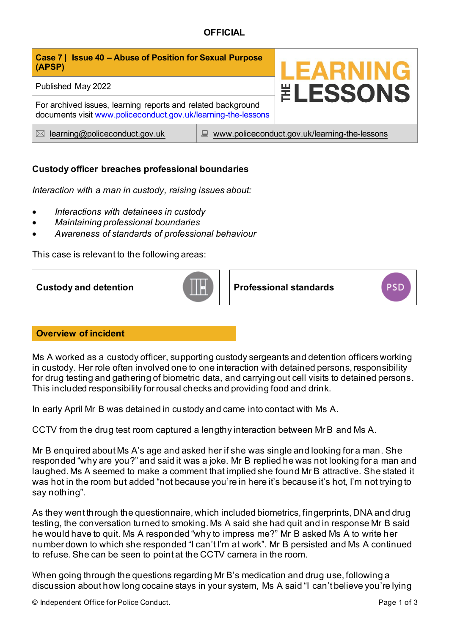| Case 7   Issue 40 - Abuse of Position for Sexual Purpose<br>(APSP)                                                            |                                                    | <b>LEARNING</b><br><b><i>ELESSONS</i></b> |
|-------------------------------------------------------------------------------------------------------------------------------|----------------------------------------------------|-------------------------------------------|
| Published May 2022                                                                                                            |                                                    |                                           |
| For archived issues, learning reports and related background<br>documents visit www.policeconduct.gov.uk/learning-the-lessons |                                                    |                                           |
| learning@policeconduct.gov.uk<br>$\bowtie$                                                                                    | www.policeconduct.gov.uk/learning-the-lessons<br>닖 |                                           |

# **Custody officer breaches professional boundaries**

*Interaction with a man in custody, raising issues about:* 

- *Interactions with detainees in custody*
- *Maintaining professional boundaries*
- *Awareness of standards of professional behaviour*

This case is relevant to the following areas:



## **Overview of incident**

Ms A worked as a custody officer, supporting custody sergeants and detention officers working in custody. Her role often involved one to one interaction with detained persons, responsibility for drug testing and gathering of biometric data, and carrying out cell visits to detained persons. This included responsibility for rousal checks and providing food and drink.

In early April Mr B was detained in custody and came into contact with Ms A.

CCTV from the drug test room captured a lengthy interaction between Mr B and Ms A.

Mr B enquired about Ms A's age and asked her if she was single and looking for a man. She responded "why are you?" and said it was a joke. Mr B replied he was not looking for a man and laughed. Ms A seemed to make a comment that implied she found Mr B attractive. She stated it was hot in the room but added "not because you're in here it's because it's hot, I'm not trying to say nothing".

As they went through the questionnaire, which included biometrics, fingerprints, DNA and drug testing, the conversation turned to smoking. Ms A said she had quit and in response Mr B said he would have to quit. Ms A responded "why to impress me?" Mr B asked Ms A to write her number down to which she responded "I can't I'm at work". Mr B persisted and Ms A continued to refuse. She can be seen to point at the CCTV camera in the room.

When going through the questions regarding Mr B's medication and drug use, following a discussion about how long cocaine stays in your system, Ms A said "I can't believe you're lying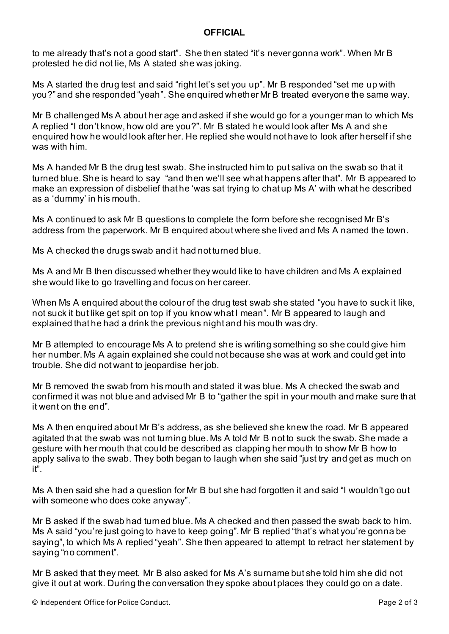to me already that's not a good start". She then stated "it's never gonna work". When Mr B protested he did not lie, Ms A stated she was joking.

Ms A started the drug test and said "right let's set you up". Mr B responded "set me up with you?" and she responded "yeah". She enquired whether Mr B treated everyone the same way.

Mr B challenged Ms A about her age and asked if she would go for a younger man to which Ms A replied "I don't know, how old are you?". Mr B stated he would look after Ms A and she enquired how he would look after her. He replied she would not have to look after herself if she was with him.

Ms A handed Mr B the drug test swab. She instructed him to put saliva on the swab so that it turned blue. She is heard to say "and then we'll see what happens after that". Mr B appeared to make an expression of disbelief that he 'was sat trying to chat up Ms A' with what he described as a 'dummy' in his mouth.

Ms A continued to ask Mr B questions to complete the form before she recognised Mr B's address from the paperwork. Mr B enquired about where she lived and Ms A named the town.

Ms A checked the drugs swab and it had not turned blue.

Ms A and Mr B then discussed whether they would like to have children and Ms A explained she would like to go travelling and focus on her career.

When Ms A enquired about the colour of the drug test swab she stated "you have to suck it like, not suck it but like get spit on top if you know what I mean". Mr B appeared to laugh and explained that he had a drink the previous night and his mouth was dry.

Mr B attempted to encourage Ms A to pretend she is writing something so she could give him her number. Ms A again explained she could not because she was at work and could get into trouble. She did not want to jeopardise her job.

Mr B removed the swab from his mouth and stated it was blue. Ms A checked the swab and confirmed it was not blue and advised Mr B to "gather the spit in your mouth and make sure that it went on the end".

Ms A then enquired about Mr B's address, as she believed she knew the road. Mr B appeared agitated that the swab was not turning blue. Ms A told Mr B not to suck the swab. She made a gesture with her mouth that could be described as clapping her mouth to show Mr B how to apply saliva to the swab. They both began to laugh when she said "just try and get as much on it".

Ms A then said she had a question for Mr B but she had forgotten it and said "I wouldn't go out with someone who does coke anyway".

Mr B asked if the swab had turned blue. Ms A checked and then passed the swab back to him. Ms A said "you're just going to have to keep going". Mr B replied "that's what you're gonna be saying", to which Ms A replied "yeah". She then appeared to attempt to retract her statement by saying "no comment".

Mr B asked that they meet. Mr B also asked for Ms A's surname but she told him she did not give it out at work. During the conversation they spoke about places they could go on a date.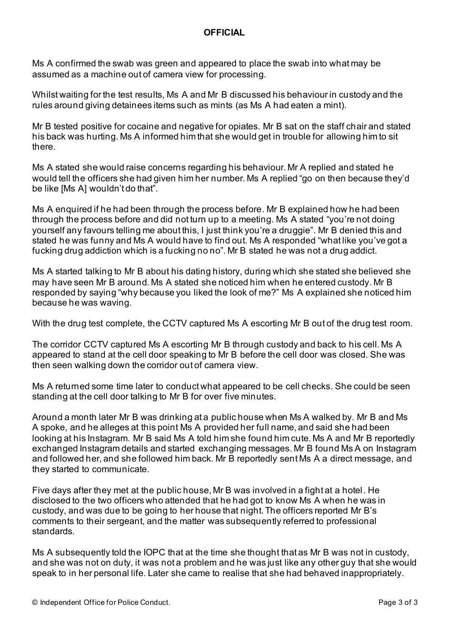Ms A confirmed the swab was green and appeared to place the swab into what may be assumed as a machine out of camera view for processing.

Whilst waiting for the test results, Ms A and Mr B discussed his behaviour in custody and the rules around giving detainees items such as mints (as Ms A had eaten a mint).

Mr B tested positive for cocaine and negative for opiates. Mr B sat on the staff chair and stated his back was hurting. Ms A informed him that she would get in trouble for allowing him to sit there.

Ms A stated she would raise concerns regarding his behaviour. Mr A replied and stated he would tell the officers she had given him her number. Ms A replied "go on then because they'd be like [Ms A] wouldn't do that".

Ms A enquired if he had been through the process before. Mr B explained how he had been through the process before and did not turn up to a meeting. Ms A stated "you're not doing yourself any favours telling me about this, I just think you're a druggie". Mr B denied this and stated he was funny and Ms A would have to find out. Ms A responded "what like you've got a fucking drug addiction which is a fucking no no". Mr B stated he was not a drug addict.

Ms A started talking to Mr B about his dating history, during which she stated she believed she may have seen Mr B around. Ms A stated she noticed him when he entered custody. Mr B responded by saying "why because you liked the look of me?" Ms A explained she noticed him because he was waving.

With the drug test complete, the CCTV captured Ms A escorting Mr B out of the drug test room.

The corridor CCTV captured Ms A escorting Mr B through custody and back to his cell. Ms A appeared to stand at the cell door speaking to Mr B before the cell door was closed. She was then seen walking down the corridor out of camera view.

Ms A returned some time later to conduct what appeared to be cell checks. She could be seen standing at the cell door talking to Mr B for over five minutes.

Around a month later Mr B was drinking at a public house when Ms A walked by. Mr B and Ms A spoke, and he alleges at this point Ms A provided her full name, and said she had been looking at his Instagram. Mr B said Ms A told him she found him cute. Ms A and Mr B reportedly exchanged Instagram details and started exchanging messages. Mr B found Ms A on Instagram and followed her, and she followed him back. Mr B reportedly sent Ms A a direct message, and they started to communicate.

Five days after they met at the public house, Mr B was involved in a fight at a hotel. He disclosed to the two officers who attended that he had got to know Ms A when he was in custody, and was due to be going to her house that night. The officers reported Mr B's comments to their sergeant, and the matter was subsequently referred to professional standards.

Ms A subsequently told the IOPC that at the time she thought that as Mr B was not in custody, and she was not on duty, it was not a problem and he was just like any other guy that she would speak to in her personal life. Later she came to realise that she had behaved inappropriately.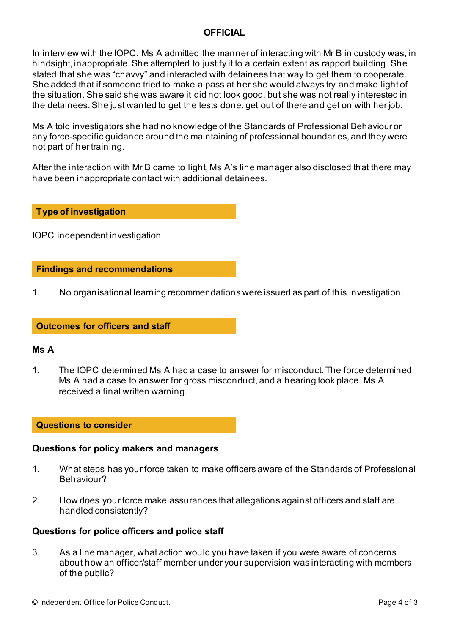In interview with the IOPC, Ms A admitted the manner of interacting with Mr B in custody was, in hindsight, inappropriate. She attempted to justify it to a certain extent as rapport building. She stated that she was "chavvy" and interacted with detainees that way to get them to cooperate. She added that if someone tried to make a pass at her she would always try and make light of the situation. She said she was aware it did not look good, but she was not really interested in the detainees. She just wanted to get the tests done, get out of there and get on with her job.

Ms A told investigators she had no knowledge of the Standards of Professional Behaviour or any force-specific guidance around the maintaining of professional boundaries, and they were not part of her training.

After the interaction with Mr B came to light, Ms A's line manager also disclosed that there may have been inappropriate contact with additional detainees.

## **Type of investigation**

IOPC independent investigation

## **Findings and recommendations**

1. No organisational learning recommendations were issued as part of this investigation.

## **Outcomes for officers and staff**

### **Ms A**

1. The IOPC determined Ms A had a case to answer for misconduct. The force determined Ms A had a case to answer for gross misconduct, and a hearing took place. Ms A received a final written warning.

### **Questions to consider**

### **Questions for policy makers and managers**

- 1. What steps has your force taken to make officers aware of the Standards of Professional Behaviour?
- 2. How does your force make assurances that allegations against officers and staff are handled consistently?

### **Questions for police officers and police staff**

3. As a line manager, what action would you have taken if you were aware of concerns about how an officer/staff member under your supervision was interacting with members of the public?